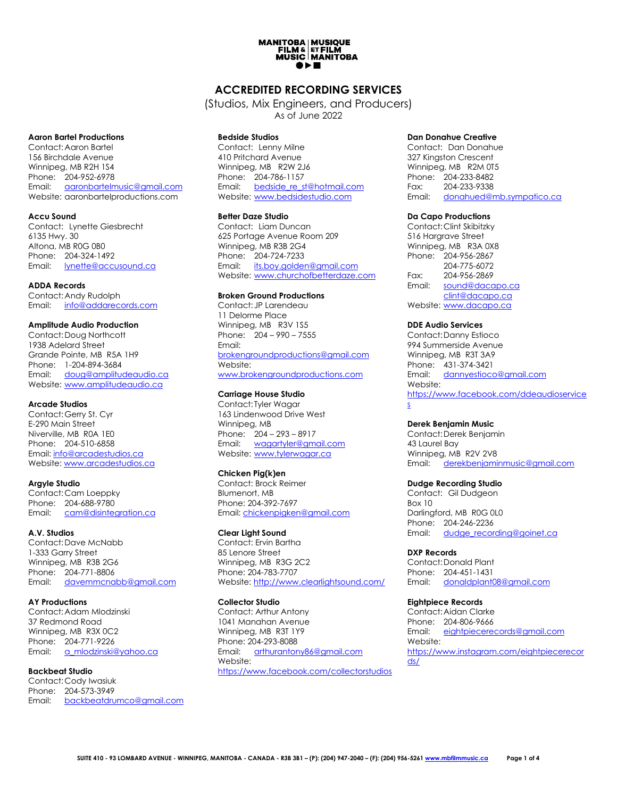# **MANITOBA | MUSIQUE<br>FILM & ETFILM<br>MUSIC | MANITOBA** ●▶■

## **ACCREDITED RECORDING SERVICES**

(Studios, Mix Engineers, and Producers) As of June 2022

#### **Aaron Bartel Productions**

Contact:Aaron Bartel 156 Birchdale Avenue Winnipeg, MB R2H 1S4 Phone: 204-952-6978 Email: [aaronbartelmusic@gmail.com](mailto:aaronbartelmusic@gmail.com) Website: aaronbartelproductions.com

## **Accu Sound**

Contact: Lynette Giesbrecht 6135 Hwy. 30 Altona, MB R0G 0B0 Phone: 204-324-1492 Email: [lynette@accusound.ca](mailto:lynette@accusound.ca)

#### **ADDA Records**

Contact:Andy Rudolph Email: [info@addarecords.com](mailto:info@addarecords.com)

#### **Amplitude Audio Production**

Contact:Doug Northcott 1938 Adelard Street Grande Pointe, MB R5A 1H9 Phone: 1-204-894-3684 Email: [doug@amplitudeaudio.ca](mailto:doug@amplitudeaudio.ca) Website: [www.amplitudeaudio.ca](http://www.amplitudeaudio.ca/)

### **Arcade Studios**

Contact:Gerry St. Cyr E-290 Main Street Niverville, MB R0A 1E0 Phone: 204-510-6858 Email: [info@arcadestudios.ca](mailto:info@arcadestudios.ca) Website[: www.arcadestudios.ca](http://www.arcadestudios.ca/)

## **Argyle Studio**

Contact:Cam Loeppky Phone: 204-688-9780 Email: [cam@disintegration.ca](mailto:cam@disintegration.ca)

## **A.V. Studios**

Contact:Dave McNabb 1-333 Garry Street Winnipeg, MB R3B 2G6 Phone: 204-771-8806 Email: [davemmcnabb@gmail.com](mailto:davemmcnabb@gmail.com)

## **AY Productions**

Contact:Adam Mlodzinski 37 Redmond Road Winnipeg, MB R3X 0C2 Phone: 204-771-9226 Email: [a\\_mlodzinski@yahoo.ca](mailto:a_mlodzinski@yahoo.ca)

## **Backbeat Studio**

Contact:Cody Iwasiuk Phone: 204-573-3949 Email: [backbeatdrumco@gmail.com](mailto:backbeatdrumco@gmail.com)

## **Bedside Studios**

Contact: Lenny Milne 410 Pritchard Avenue Winnipeg, MB R2W 2J6 Phone: 204-786-1157 Email: [bedside\\_re\\_st@hotmail.com](mailto:bedside_re_st@hotmail.com) website: [www.bedsidestudio.com](http://www.bedsidestudio.com/)

## **Better Daze Studio**

Contact: Liam Duncan 625 Portage Avenue Room 209 Winnipeg, MB R3B 2G4 Phone: 204-724-7233 Email: [its.boy.golden@gmail.com](mailto:its.boy.golden@gmail.com) Website: [www.churchofbetterdaze.com](http://www.churchofbetterdaze.com/)

## **Broken Ground Productions**

Contact: JP Larendeau 11 Delorme Place Winnipeg, MB R3V 1S5 Phone: 204 – 990 – 7555 Email: [brokengroundproductions@gmail.com](mailto:brokengroundproductions@gmail.com) Website: [www.brokengroundproductions.com](http://www.brokengroundproductions.com/)

## **Carriage House Studio**

Contact: Tyler Wagar 163 Lindenwood Drive West Winnipeg, MB Phone: 204 – 293 – 8917 Email: [wagartyler@gmail.com](mailto:wagartyler@gmail.com) Website: [www.tylerwagar.ca](http://www.tylerwagar.ca/)

## **Chicken Pig(k)en**

Contact: Brock Reimer Blumenort, MB Phone: 204-392-7697 Email[: chickenpigken@gmail.com](mailto:chickenpigken@gmail.com)

## **Clear Light Sound**

Contact: Ervin Bartha 85 Lenore Street Winnipea, MB R3G 2C2 Phone: 204-783-7707 Website[: http://www.clearlightsound.com/](http://www.clearlightsound.com/)

## **Collector Studio**

Contact: Arthur Antony 1041 Manahan Avenue Winnipeg, MB R3T 1Y9 Phone: 204-293-8088 Email: [arthurantony86@gmail.com](mailto:arthurantony86@gmail.com) Website: <https://www.facebook.com/collectorstudios>

## **Dan Donahue Creative**

Contact: Dan Donahue 327 Kingston Crescent Winnipeg, MB R2M 0T5 Phone: 204-233-8482 Fax: 204-233-9338 Email: [donahued@mb.sympatico.ca](mailto:donahued@mb.sympatico.ca)

## **Da Capo Productions**

Contact:Clint Skibitzky 516 Hargrave Street Winnipeg, MB R3A 0X8 Phone: 204-956-2867 204-775-6072 Fax: 204-956-2869 Email: [sound@dacapo.ca](mailto:sound@dacapo.ca) [clint@dacapo.ca](mailto:clint@dacapo.ca) Website: [www.dacapo.ca](http://www.dacapo..ca/)

## **DDE Audio Services**

Contact:Danny Estioco 994 Summerside Avenue Winnipeg, MB R3T 3A9 Phone: 431-374-3421 Email: [dannyestioco@gmail.com](mailto:dannyestioco@gmail.com) Website: [https://www.facebook.com/ddeaudioservice](https://www.facebook.com/ddeaudioservices) [s](https://www.facebook.com/ddeaudioservices)

## **Derek Benjamin Music**

Contact:Derek Benjamin 43 Laurel Bay Winnipeg, MB R2V 2V8 Email: [derekbenjaminmusic@gmail.com](mailto:derekbenjaminmusic@gmail.com)

## **Dudge Recording Studio**

Contact: Gil Dudgeon Box 10 Darlingford, MB R0G 0L0 Phone: 204-246-2236 Email: [dudge\\_recording@goinet.ca](mailto:dudge_recording@goinet.ca)

## **DXP Records**

Contact:Donald Plant Phone: 204-451-1431 Email: [donaldplant08@gmail.com](mailto:donaldplant08@gmail.com)

## **Eightpiece Records**

Contact:Aidan Clarke Phone: 204-806-9666 Email: [eightpiecerecords@gmail.com](mailto:eightpiecerecords@gmail.com) Website: [https://www.instagram.com/eightpiecerecor](https://www.instagram.com/eightpiecerecords/) [ds/](https://www.instagram.com/eightpiecerecords/)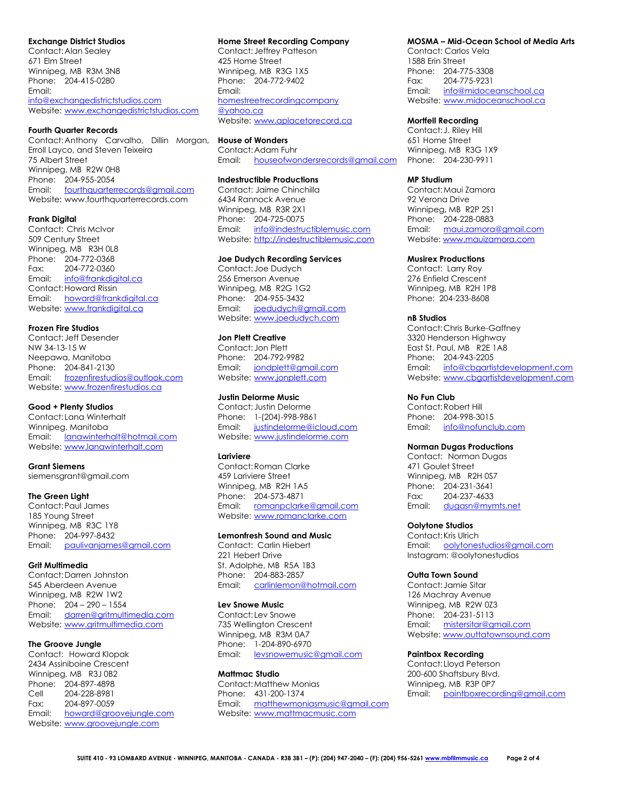#### **Exchange District Studios**

Contact:Alan Sealey 671 Elm Street Winnipeg, MB R3M 3N8 Phone: 204-415-0280 Email: [info@exchangedistrictstudios.com](mailto:info@exchangedistrictstudios.com) Website: [www.exchangedistrictstudios.com](http://www.exchangedistrictstudios.com/)

#### **Fourth Quarter Records**

Contact:Anthony Carvalho, Dillin Morgan, **House of Wonders**  Erroll Layco, and Steven Teixeira 75 Albert Street Winnipeg, MB R2W 0H8 Phone: 204-955-2054 Email: [fourthquarterrecords@gmail.com](mailto:fourthquarterrecords@gmail.com) Website: www.fourthquarterrecords.com

#### **Frank Digital**

Contact: Chris McIvor 509 Century Street Winnipeg, MB R3H 0L8 Phone: 204-772-0368 Fax: 204-772-0360 Email: [info@frankdigital.ca](mailto:info@frankdigital.ca) Contact:Howard Rissin Email: [howard@frankdigital.ca](mailto:howard@frankdigital.ca) Website: [www.frankdigital.ca](http://www.frankdigital.ca/)

#### **Frozen Fire Studios**

Contact: Jeff Desender NW 34-13-15 W Neepawa, Manitoba Phone: 204-841-2130 Email: [frozenfirestudios@outlook.com](mailto:frozenfirestudios@outlook.com) Website: [www.frozenfirestudios.ca](http://www.frozenfirestudios.ca/)

#### **Good + Plenty Studios**

Contact: Lana Winterhalt Winnipeg, Manitoba Email: [lanawinterhalt@hotmail.com](mailto:lanawinterhalt@hotmail.com) Website: [www.lanawinterhalt.com](http://www.lanawinterhalt.com/)

**Grant Siemens** siemensgrant@gmail.com

#### **The Green Light**

Contact:Paul James 185 Young Street Winnipeg, MB R3C 1Y8 Phone: 204-997-8432 Email: [paulivanjames@gmail.com](mailto:paulivanjames@gmail.com)

## **Grit Multimedia**

Contact:Darren Johnston 545 Aberdeen Avenue Winnipeg, MB R2W 1W2 Phone: 204 – 290 – 1554 Email: [darren@gritmultimedia.com](mailto:darren@gritmultimedia.com) Website: [www.gritmultimedia.com](http://www.gritmultimedia.com/)

#### **The Groove Jungle**

Contact: Howard Klopak 2434 Assiniboine Crescent Winnipeg, MB R3J 0B2 Phone: 204-897-4898 Cell 204-228-8981 Fax: 204-897-0059 Email: [howard@groovejungle.com](mailto:howard@groovejungle.com) Website: [www.groovejungle.com](http://www.groovejungle.com/)

#### **Home Street Recording Company**

Contact: Jeffrey Patteson 425 Home Street Winnipeg, MB R3G 1X5 Phone: 204-772-9402 Email: [homestreetrecordingcompany](mailto:homestreetrecordingcomplany@yahoo.ca) [@yahoo.ca](mailto:homestreetrecordingcomplany@yahoo.ca) Website: [www.aplacetorecord.ca](http://www.aplacetorecord.ca/)

Contact:Adam Fuhr Email: [houseofwondersrecords@gmail.com](mailto:houseofwondersrecords@gmail.com) Phone: 204-230-9911

## **Indestructible Productions**

Contact: Jaime Chinchilla 6434 Rannock Avenue Winnipeg, MB R3R 2X1 Phone: 204-725-0075 Email: [info@indestructiblemusic.com](mailto:info@indestructiblemusic.com) Website: [http://indestructiblemusic.com](http://indestructiblemusic.com/)

#### **Joe Dudych Recording Services**

Contact: Joe Dudych 256 Emerson Avenue Winnipeg, MB R2G 1G2 Phone: 204-955-3432 Email: [joedudych@gmail.com](mailto:joedudych@gmail.com) Website: [www.joedudych.com](http://www.joedudych.com/)

## **Jon Plett Creative**

Contact: Jon Plett Phone: 204-792-9982 Email: [jondplett@gmail.com](mailto:jondplett@gmail.com) Website: [www.jonplett.com](http://www.jonplett.com/)

### **Justin Delorme Music**

Contact: Justin Delorme Phone: 1-(204)-998-9861 Email: [justindelorme@icloud.com](mailto:justindelorme@icloud.com) Website: [www.justindelorme.com](http://www.justindelorme.com/)

#### **Lariviere**

Contact:Roman Clarke 459 Lariviere Street Winnipeg, MB R2H 1A5 Phone: 204-573-4871 Email: [romanpclarke@gmail.com](mailto:romanpclarke@gmail.com) Website: [www.romanclarke.com](http://www.romanclarke.com/)

#### **Lemonfresh Sound and Music**

Contact: Carlin Hiebert 221 Hebert Drive St. Adolphe, MB R5A 1B3 Phone: 204-883-2857 Email: [carlinlemon@hotmail.com](mailto:carlinlemon@hotmail.com)

#### **Lev Snowe Music**

Contact: Lev Snowe 735 Wellington Crescent Winnipeg, MB R3M 0A7 Phone: 1-204-890-6970 Email: [levsnowemusic@gmail.com](mailto:levsnowemusic@gmail.com)

#### **Mattmac Studio**

Contact:Matthew Monias Phone: 431-200-1374 Email: [matthewmoniasmusic@gmail.com](mailto:matthewmoniasmusic@gmail.com) Website: [www.mattmacmusic.com](http://www.mattmacmusic.com/)

#### **MOSMA – Mid-Ocean School of Media Arts**

Contact: Carlos Vela 1588 Erin Street Phone: 204-775-3308 Fax: 204-775-9231 Email: [info@midoceanschool.ca](mailto:info@midoceanschool.ca) Website: [www.midoceanschool.ca](http://www.midoceanschool.ca/)

#### **Mortfell Recording**

Contact: J. Riley Hill 651 Home Street Winnipeg, MB R3G 1X9

#### **MP Studium**

Contact:Maui Zamora 92 Verona Drive Winnipeg, MB R2P 2S1 Phone: 204-228-0883 Email: [maui.zamora@gmail.com](mailto:maui.zamora@gmail.com) Website[: www.mauizamora.com](http://www.mauizamora.com/)

#### **Musirex Productions**

Contact: Larry Roy 276 Enfield Crescent Winnipeg, MB R2H 1P8 Phone: 204-233-8608

#### **nB Studios**

Contact:Chris Burke-Gaffney 3320 Henderson Highway East St. Paul, MB R2E 1A8 Phone: 204-943-2205 Email: [info@cbgartistdevelopment.com](mailto:info@cbgartistdevelopment.com) Website: [www.cbgartistdevelopment.com](http://www.cbgartistdevelopment.com/)

#### **No Fun Club**

Contact:Robert Hill Phone: 204-998-3015 Email: [info@nofunclub.com](mailto:info@nofunclub.com)

#### **Norman Dugas Productions**

Contact: Norman Dugas 471 Goulet Street Winnipeg, MB R2H 0S7 Phone: 204-231-3641<br>Fax: 204-237-4633 Fax: 204-237-4633 Email: [dugasn@mymts.net](mailto:dugasn@mymts.net)

#### **Oolytone Studios**

Contact:Kris Ulrich Email: [oolytonestudios@gmail.com](mailto:oolytonestudios@gmail.com) Instagram: @oolytonestudios

#### **Outta Town Sound**

Contact: Jamie Sitar 126 Machray Avenue Winnipeg, MB R2W 0Z3 Phone: 204-231-5113 Email: [mistersitar@gmail.com](mailto:mistersitar@gmail.com) Website[: www.outtatownsound.com](http://www.outtatownsound.com/)

#### **Paintbox Recording**

Contact: Lloyd Peterson 200-600 Shaftsbury Blvd. Winnipeg, MB R3P 0P7 Email: [paintboxrecording@gmail.com](mailto:paintboxrecording@gmail.com)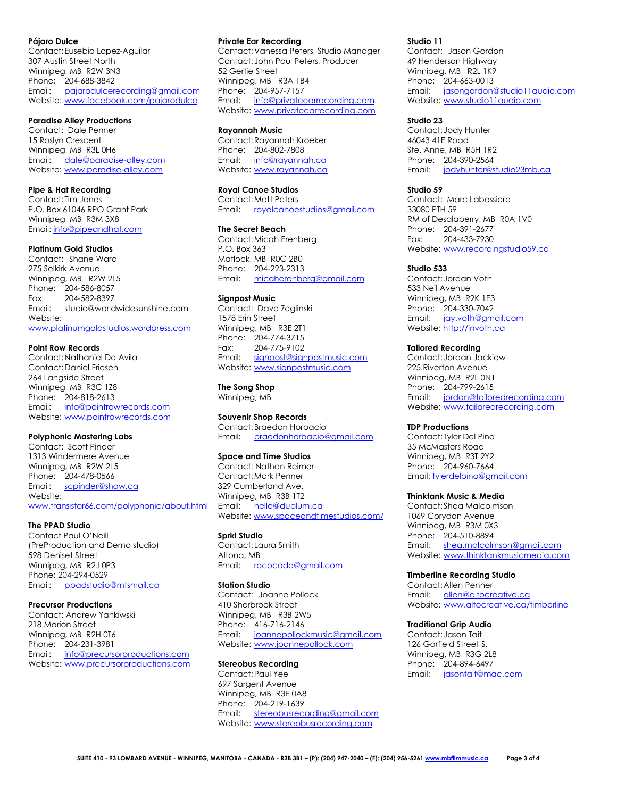#### **Pájaro Dulce**

Contact:Eusebio Lopez-Aguilar 307 Austin Street North Winnipeg, MB R2W 3N3 Phone: 204-688-3842 Email: [pajarodulcerecording@gmail.com](mailto:pajarodulcerecording@gmail.com) Website: [www.facebook.com/pajarodulce](http://www.facebook.com/pajarodulce)

#### **Paradise Alley Productions**

Contact: Dale Penner 15 Roslyn Crescent Winnipeg, MB R3L 0H6 Email: [dale@paradise-alley.com](mailto:dale@paradise-alley.com) Website: [www.paradise-alley.com](http://www.paradise-alley.com/)

## **Pipe & Hat Recording**

Contact: Tim Jones P.O. Box 61046 RPO Grant Park Winnipeg, MB R3M 3X8 Email: [info@pipeandhat.com](mailto:info@pipeandhat.com)

## **Platinum Gold Studios**

Contact: Shane Ward 275 Selkirk Avenue Winnipeg, MB R2W 2L5 Phone: 204-586-8057 Fax: 204-582-8397 Email: studio@worldwidesunshine.com Website: [www.platinumgoldstudios.wordpress.com](http://www.platinumgoldstudios.wordpress.com/)

#### **Point Row Records**

Contact:Nathaniel De Avila Contact:Daniel Friesen 264 Langside Street Winnipeg, MB R3C 1Z8 Phone: 204-818-2613 Email: [info@pointrowrecords.com](mailto:info@pointrowrecords.com) Website: [www.pointrowrecords.com](http://www.pointrowrecords.com/)

## **Polyphonic Mastering Labs**

Contact: Scott Pinder 1313 Windermere Avenue Winnipeg, MB R2W 2L5 Phone: 204-478-0566 Email: [scpinder@shaw.ca](mailto:scpinder@shaw.ca) Website: [www.transistor66.com/polyphonic/about.html](http://www.transistor66.com/polyphonic/about.html)

#### **The PPAD Studio**

Contact Paul O'Neill (PreProduction and Demo studio) 598 Deniset Street Winnipeg, MB R2J 0P3 Phone: 204-294-0529 Email: [ppadstudio@mtsmail.ca](mailto:ppadstudio@mtsmail.ca)

#### **Precursor Productions**

Contact: Andrew Yankiwski 218 Marion Street Winnipeg, MB R2H 0T6 Phone: 204-231-3981 Email: [info@precursorproductions.com](mailto:info@precursorproductions.com) Website: [www.precursorproductions.com](http://www.precursorproductions.com/)

#### **Private Ear Recording**

Contact:Vanessa Peters, Studio Manager Contact: John Paul Peters, Producer 52 Gertie Street Winnipeg, MB R3A 1B4 Phone: 204-957-7157 Email: info@privateearrecording.com Website: [www.privateearrecording.com](http://www.privateearrecording.com/)

#### **Rayannah Music**

Contact:Rayannah Kroeker Phone: 204-802-7808 Email: [info@rayannah.ca](mailto:info@rayannah.ca) Website: [www.rayannah.ca](http://www.rayannah.ca/)

#### **Royal Canoe Studios**

Contact:Matt Peters Email: [royalcanoestudios@gmail.com](mailto:royalcanoestudios@gmail.com)

#### **The Secret Beach**

Contact:Micah Erenberg P.O. Box 363 Matlock, MB R0C 2B0 Phone: 204-223-2313 Email: [micaherenberg@gmail.com](mailto:micaherenberg@gmail.com)

#### **Signpost Music**

Contact: Dave Zeglinski 1578 Erin Street Winnipeg, MB R3E 2T1 Phone: 204-774-3715 Fax: 204-775-9102 Email: [signpost@signpostmusic.com](mailto:signpost@signpostmusic.com) Website: [www.signpostmusic.com](http://www.signpostmusic.com/)

## **The Song Shop**

Winnipeg, MB

#### **Souvenir Shop Records** Contact:Braedon Horbacio

Email: [braedonhorbacio@gmail.com](mailto:braedonhorbacio@gmail.com)

#### **Space and Time Studios**

Contact: Nathan Reimer Contact:Mark Penner 329 Cumberland Ave. Winnipeg, MB R3B 1T2 Email: [hello@dublum.ca](mailto:hello@dublum.ca) Website[: www.spaceandtimestudios.com/](http://www.spaceandtimestudios.com/)

### **Sprkl Studio**

Contact: Laura Smith Altona, MB Email: [rococode@gmail.com](mailto:rococode@gmail.com)

#### **Station Studio**

Contact: Joanne Pollock 410 Sherbrook Street Winnipeg, MB R3B 2W5 Phone: 416-716-2146 Email: [joannepollockmusic@gmail.com](mailto:joannepollockmusic@gmail.com) Website: [www.joannepollock.com](http://www.joannepollock.com/)

#### **Stereobus Recording**

Contact:Paul Yee 697 Sargent Avenue Winnipeg, MB R3E 0A8 Phone: 204-219-1639 Email: [stereobusrecording@gmail.com](mailto:stereobusrecording@gmail.com) Website: [www.stereobusrecording.com](https://www.stereobusrecording.com/)

#### **Studio 11**

Contact: Jason Gordon 49 Henderson Highway Winnipeg, MB R2L 1K9 Phone: 204-663-0013 Email: [jasongordon@studio11audio.com](mailto:jasongordon@studio11audio.com) Website: [www.studio11audio.com](http://www.studio11audio.com/)

#### **Studio 23**

Contact: Jody Hunter 46043 41E Road Ste. Anne, MB R5H 1R2 Phone: 204-390-2564 Email: [jodyhunter@studio23mb.ca](mailto:jodyhunter@studio23mb.ca)

#### **Studio 59**

Contact: Marc Labossiere 33080 PTH 59 RM of Desalaberry, MB R0A 1V0 Phone: 204-391-2677 Fax: 204-433-7930 Website: [www.recordingstudio59.ca](http://www.recordingstudio59.ca/)

#### **Studio 533**

Contact: Jordan Voth 533 Neil Avenue Winnipeg, MB R2K 1E3 Phone: 204-330-7042 Email: [jay.voth@gmail.com](mailto:jay.voth@gmail.com) Website[: http://jnvoth.ca](http://jnvoth.ca/)

#### **Tailored Recording**

Contact: Jordan Jackiew 225 Riverton Avenue Winnipeg, MB R2L 0N1 Phone: 204-799-2615 Email: [jordan@tailoredrecording.com](mailto:jordan@tailoredrecording.com) Website: [www.tailoredrecording.com](http://www.tailoredrecording.com/)

#### **TDP Productions**

Contact: Tyler Del Pino 35 McMasters Road Winnipeg, MB R3T 2Y2 Phone: 204-960-7664 Email[: tylerdelpino@gmail.com](mailto:tylerdelpino@gmail.com)

#### **Thinktank Music & Media**

Contact: Shea Malcolmson 1069 Corydon Avenue Winnipeg, MB R3M 0X3 Phone: 204-510-8894 Email: [shea.malcolmson@gmail.com](mailto:shea.malcolmson@gmail.com) Website: [www.thinktankmusicmedia.com](http://www.thinktankmusicmedia.com/)

#### **Timberline Recording Studio**

Contact:Allen Penner Email: [allen@altocreative.ca](mailto:allen@altocreative.ca) Website: [www.altocreative.ca/timberline](http://www.altocreative.ca/timberline)

#### **Traditional Grip Audio**

Contact: Jason Tait 126 Garfield Street S. Winnipeg, MB R3G 2L8 Phone: 204-894-6497 Email: [jasontait@mac.com](mailto:jasontait@mac.com)